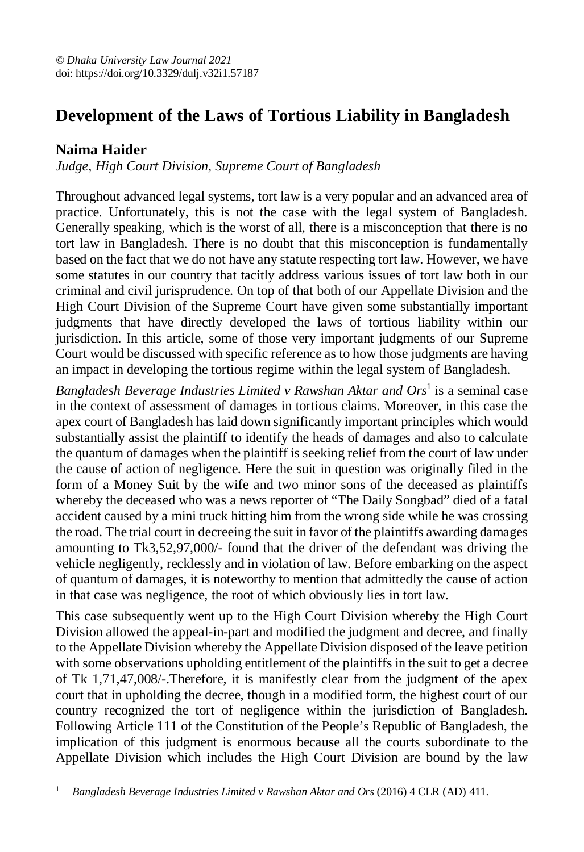## **Development of the Laws of Tortious Liability in Bangladesh**

## **Naima Haider**

*Judge, High Court Division, Supreme Court of Bangladesh*

Throughout advanced legal systems, tort law is a very popular and an advanced area of practice. Unfortunately, this is not the case with the legal system of Bangladesh. Generally speaking, which is the worst of all, there is a misconception that there is no tort law in Bangladesh. There is no doubt that this misconception is fundamentally based on the fact that we do not have any statute respecting tort law. However, we have some statutes in our country that tacitly address various issues of tort law both in our criminal and civil jurisprudence. On top of that both of our Appellate Division and the High Court Division of the Supreme Court have given some substantially important judgments that have directly developed the laws of tortious liability within our jurisdiction. In this article, some of those very important judgments of our Supreme Court would be discussed with specific reference as to how those judgments are having an impact in developing the tortious regime within the legal system of Bangladesh.

Bangladesh Beverage Industries Limited v Rawshan Aktar and Ors<sup>1</sup> is a seminal case in the context of assessment of damages in tortious claims. Moreover, in this case the apex court of Bangladesh has laid down significantly important principles which would substantially assist the plaintiff to identify the heads of damages and also to calculate the quantum of damages when the plaintiff is seeking relief from the court of law under the cause of action of negligence. Here the suit in question was originally filed in the form of a Money Suit by the wife and two minor sons of the deceased as plaintiffs whereby the deceased who was a news reporter of "The Daily Songbad" died of a fatal accident caused by a mini truck hitting him from the wrong side while he was crossing the road. The trial court in decreeing the suit in favor of the plaintiffs awarding damages amounting to Tk3,52,97,000/- found that the driver of the defendant was driving the vehicle negligently, recklessly and in violation of law. Before embarking on the aspect of quantum of damages, it is noteworthy to mention that admittedly the cause of action in that case was negligence, the root of which obviously lies in tort law.

This case subsequently went up to the High Court Division whereby the High Court Division allowed the appeal-in-part and modified the judgment and decree, and finally to the Appellate Division whereby the Appellate Division disposed of the leave petition with some observations upholding entitlement of the plaintiffs in the suit to get a decree of Tk 1,71,47,008/-.Therefore, it is manifestly clear from the judgment of the apex court that in upholding the decree, though in a modified form, the highest court of our country recognized the tort of negligence within the jurisdiction of Bangladesh. Following Article 111 of the Constitution of the People's Republic of Bangladesh, the implication of this judgment is enormous because all the courts subordinate to the Appellate Division which includes the High Court Division are bound by the law

 $\overline{a}$ <sup>1</sup> *Bangladesh Beverage Industries Limited v Rawshan Aktar and Ors* (2016) 4 CLR (AD) 411.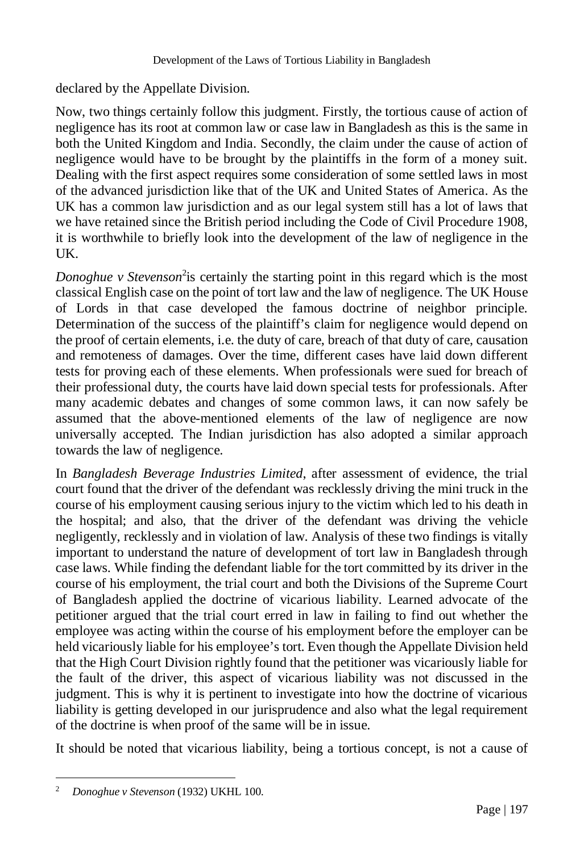declared by the Appellate Division.

Now, two things certainly follow this judgment. Firstly, the tortious cause of action of negligence has its root at common law or case law in Bangladesh as this is the same in both the United Kingdom and India. Secondly, the claim under the cause of action of negligence would have to be brought by the plaintiffs in the form of a money suit. Dealing with the first aspect requires some consideration of some settled laws in most of the advanced jurisdiction like that of the UK and United States of America. As the UK has a common law jurisdiction and as our legal system still has a lot of laws that we have retained since the British period including the Code of Civil Procedure 1908, it is worthwhile to briefly look into the development of the law of negligence in the UK.

Donoghue v Stevenson<sup>2</sup> is certainly the starting point in this regard which is the most classical English case on the point of tort law and the law of negligence. The UK House of Lords in that case developed the famous doctrine of neighbor principle. Determination of the success of the plaintiff's claim for negligence would depend on the proof of certain elements, i.e. the duty of care, breach of that duty of care, causation and remoteness of damages. Over the time, different cases have laid down different tests for proving each of these elements. When professionals were sued for breach of their professional duty, the courts have laid down special tests for professionals. After many academic debates and changes of some common laws, it can now safely be assumed that the above-mentioned elements of the law of negligence are now universally accepted. The Indian jurisdiction has also adopted a similar approach towards the law of negligence.

In *Bangladesh Beverage Industries Limited*, after assessment of evidence, the trial court found that the driver of the defendant was recklessly driving the mini truck in the course of his employment causing serious injury to the victim which led to his death in the hospital; and also, that the driver of the defendant was driving the vehicle negligently, recklessly and in violation of law. Analysis of these two findings is vitally important to understand the nature of development of tort law in Bangladesh through case laws. While finding the defendant liable for the tort committed by its driver in the course of his employment, the trial court and both the Divisions of the Supreme Court of Bangladesh applied the doctrine of vicarious liability. Learned advocate of the petitioner argued that the trial court erred in law in failing to find out whether the employee was acting within the course of his employment before the employer can be held vicariously liable for his employee's tort. Even though the Appellate Division held that the High Court Division rightly found that the petitioner was vicariously liable for the fault of the driver, this aspect of vicarious liability was not discussed in the judgment. This is why it is pertinent to investigate into how the doctrine of vicarious liability is getting developed in our jurisprudence and also what the legal requirement of the doctrine is when proof of the same will be in issue.

It should be noted that vicarious liability, being a tortious concept, is not a cause of

 $\overline{a}$ 

<sup>2</sup> *Donoghue v Stevenson* (1932) UKHL 100.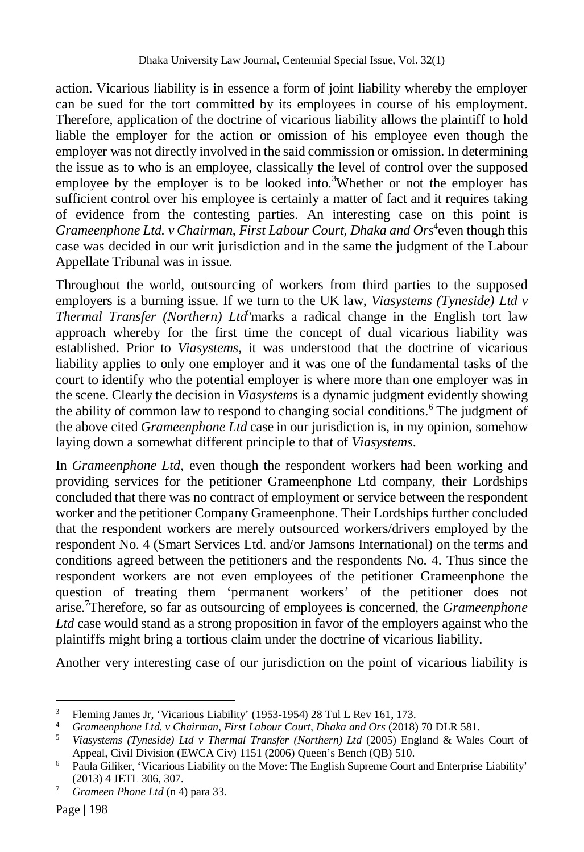action. Vicarious liability is in essence a form of joint liability whereby the employer can be sued for the tort committed by its employees in course of his employment. Therefore, application of the doctrine of vicarious liability allows the plaintiff to hold liable the employer for the action or omission of his employee even though the employer was not directly involved in the said commission or omission. In determining the issue as to who is an employee, classically the level of control over the supposed employee by the employer is to be looked into.<sup>3</sup>Whether or not the employer has sufficient control over his employee is certainly a matter of fact and it requires taking of evidence from the contesting parties. An interesting case on this point is Grameenphone Ltd. v Chairman, First Labour Court, Dhaka and Ors<sup>4</sup>even though this case was decided in our writ jurisdiction and in the same the judgment of the Labour Appellate Tribunal was in issue.

Throughout the world, outsourcing of workers from third parties to the supposed employers is a burning issue. If we turn to the UK law, *Viasystems (Tyneside) Ltd v Thermal Transfer (Northern) Ltd*<sup>5</sup>marks a radical change in the English tort law approach whereby for the first time the concept of dual vicarious liability was established. Prior to *Viasystems*, it was understood that the doctrine of vicarious liability applies to only one employer and it was one of the fundamental tasks of the court to identify who the potential employer is where more than one employer was in the scene. Clearly the decision in *Viasystems* is a dynamic judgment evidently showing the ability of common law to respond to changing social conditions.<sup>6</sup> The judgment of the above cited *Grameenphone Ltd* case in our jurisdiction is, in my opinion, somehow laying down a somewhat different principle to that of *Viasystems*.

In *Grameenphone Ltd*, even though the respondent workers had been working and providing services for the petitioner Grameenphone Ltd company, their Lordships concluded that there was no contract of employment or service between the respondent worker and the petitioner Company Grameenphone. Their Lordships further concluded that the respondent workers are merely outsourced workers/drivers employed by the respondent No. 4 (Smart Services Ltd. and/or Jamsons International) on the terms and conditions agreed between the petitioners and the respondents No. 4. Thus since the respondent workers are not even employees of the petitioner Grameenphone the question of treating them 'permanent workers' of the petitioner does not arise.<sup>7</sup>Therefore, so far as outsourcing of employees is concerned, the *Grameenphone Ltd* case would stand as a strong proposition in favor of the employers against who the plaintiffs might bring a tortious claim under the doctrine of vicarious liability.

Another very interesting case of our jurisdiction on the point of vicarious liability is

 $\overline{a}$ <sup>3</sup> Fleming James Jr, 'Vicarious Liability' (1953-1954) 28 Tul L Rev 161, 173.<br><sup>4</sup> Grameenphone *Ltd. y Chairman First Labour Court, Dhaka and Ors* (2018)

<sup>4</sup> *Grameenphone Ltd. v Chairman, First Labour Court, Dhaka and Ors* (2018) 70 DLR 581.

<sup>5</sup> *Viasystems (Tyneside) Ltd v Thermal Transfer (Northern) Ltd* (2005) England & Wales Court of Appeal, Civil Division (EWCA Civ) 1151 (2006) Queen's Bench (QB) 510.

<sup>6</sup> Paula Giliker, 'Vicarious Liability on the Move: The English Supreme Court and Enterprise Liability' (2013) 4 JETL 306, 307.

<sup>7</sup> *Grameen Phone Ltd* (n 4) para 33.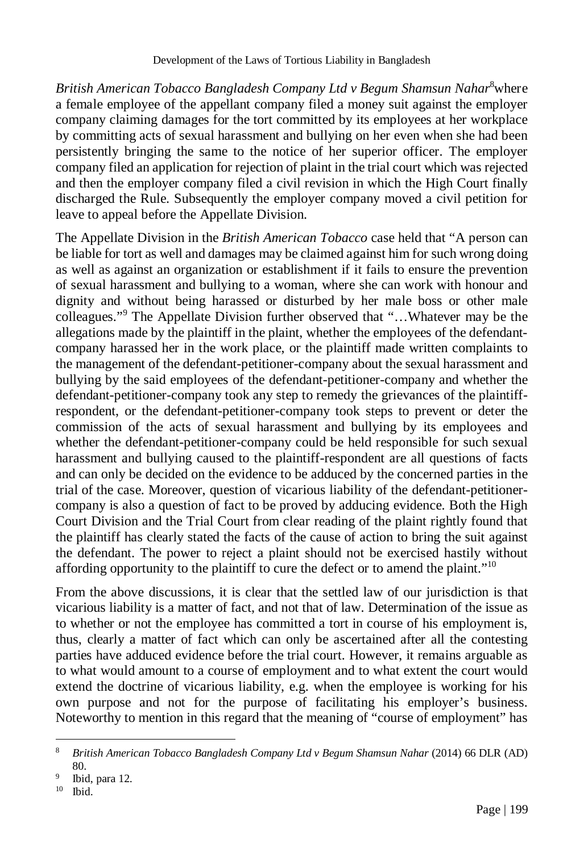*British American Tobacco Bangladesh Company Ltd v Begum Shamsun Nahar*<sup>8</sup>where a female employee of the appellant company filed a money suit against the employer company claiming damages for the tort committed by its employees at her workplace by committing acts of sexual harassment and bullying on her even when she had been persistently bringing the same to the notice of her superior officer. The employer company filed an application for rejection of plaint in the trial court which was rejected and then the employer company filed a civil revision in which the High Court finally discharged the Rule. Subsequently the employer company moved a civil petition for leave to appeal before the Appellate Division.

The Appellate Division in the *British American Tobacco* case held that "A person can be liable for tort as well and damages may be claimed against him for such wrong doing as well as against an organization or establishment if it fails to ensure the prevention of sexual harassment and bullying to a woman, where she can work with honour and dignity and without being harassed or disturbed by her male boss or other male colleagues."<sup>9</sup> The Appellate Division further observed that "…Whatever may be the allegations made by the plaintiff in the plaint, whether the employees of the defendantcompany harassed her in the work place, or the plaintiff made written complaints to the management of the defendant-petitioner-company about the sexual harassment and bullying by the said employees of the defendant-petitioner-company and whether the defendant-petitioner-company took any step to remedy the grievances of the plaintiffrespondent, or the defendant-petitioner-company took steps to prevent or deter the commission of the acts of sexual harassment and bullying by its employees and whether the defendant-petitioner-company could be held responsible for such sexual harassment and bullying caused to the plaintiff-respondent are all questions of facts and can only be decided on the evidence to be adduced by the concerned parties in the trial of the case. Moreover, question of vicarious liability of the defendant-petitionercompany is also a question of fact to be proved by adducing evidence. Both the High Court Division and the Trial Court from clear reading of the plaint rightly found that the plaintiff has clearly stated the facts of the cause of action to bring the suit against the defendant. The power to reject a plaint should not be exercised hastily without affording opportunity to the plaintiff to cure the defect or to amend the plaint."<sup>10</sup>

From the above discussions, it is clear that the settled law of our jurisdiction is that vicarious liability is a matter of fact, and not that of law. Determination of the issue as to whether or not the employee has committed a tort in course of his employment is, thus, clearly a matter of fact which can only be ascertained after all the contesting parties have adduced evidence before the trial court. However, it remains arguable as to what would amount to a course of employment and to what extent the court would extend the doctrine of vicarious liability, e.g. when the employee is working for his own purpose and not for the purpose of facilitating his employer's business. Noteworthy to mention in this regard that the meaning of "course of employment" has

 $\overline{a}$ <sup>8</sup> *British American Tobacco Bangladesh Company Ltd v Begum Shamsun Nahar* (2014) 66 DLR (AD) 80.

<sup>9</sup> Ibid, para 12.

<sup>10</sup> Ibid.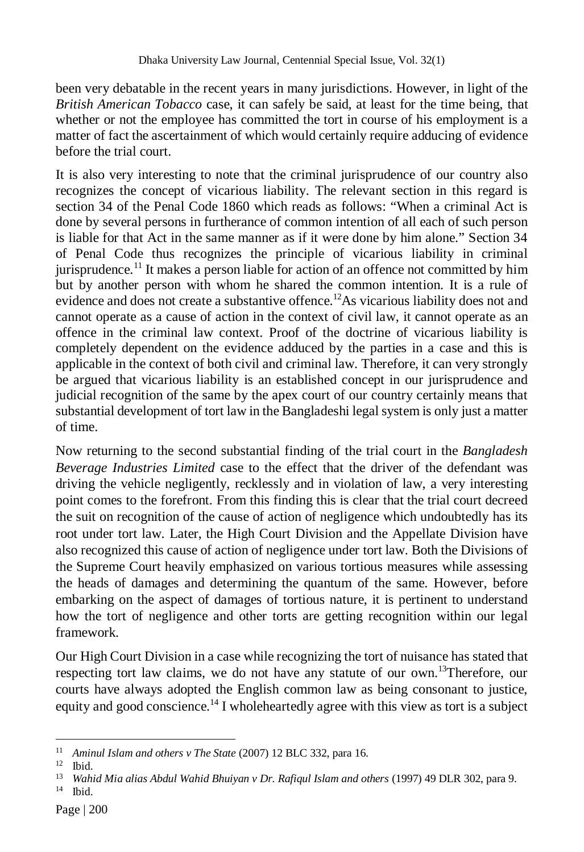been very debatable in the recent years in many jurisdictions. However, in light of the *British American Tobacco* case, it can safely be said, at least for the time being, that whether or not the employee has committed the tort in course of his employment is a matter of fact the ascertainment of which would certainly require adducing of evidence before the trial court.

It is also very interesting to note that the criminal jurisprudence of our country also recognizes the concept of vicarious liability. The relevant section in this regard is section 34 of the Penal Code 1860 which reads as follows: "When a criminal Act is done by several persons in furtherance of common intention of all each of such person is liable for that Act in the same manner as if it were done by him alone." Section 34 of Penal Code thus recognizes the principle of vicarious liability in criminal jurisprudence.<sup>11</sup> It makes a person liable for action of an offence not committed by him but by another person with whom he shared the common intention. It is a rule of evidence and does not create a substantive offence.<sup>12</sup>As vicarious liability does not and cannot operate as a cause of action in the context of civil law, it cannot operate as an offence in the criminal law context. Proof of the doctrine of vicarious liability is completely dependent on the evidence adduced by the parties in a case and this is applicable in the context of both civil and criminal law. Therefore, it can very strongly be argued that vicarious liability is an established concept in our jurisprudence and judicial recognition of the same by the apex court of our country certainly means that substantial development of tort law in the Bangladeshi legal system is only just a matter of time.

Now returning to the second substantial finding of the trial court in the *Bangladesh Beverage Industries Limited* case to the effect that the driver of the defendant was driving the vehicle negligently, recklessly and in violation of law, a very interesting point comes to the forefront. From this finding this is clear that the trial court decreed the suit on recognition of the cause of action of negligence which undoubtedly has its root under tort law. Later, the High Court Division and the Appellate Division have also recognized this cause of action of negligence under tort law. Both the Divisions of the Supreme Court heavily emphasized on various tortious measures while assessing the heads of damages and determining the quantum of the same. However, before embarking on the aspect of damages of tortious nature, it is pertinent to understand how the tort of negligence and other torts are getting recognition within our legal framework.

Our High Court Division in a case while recognizing the tort of nuisance has stated that respecting tort law claims, we do not have any statute of our own.<sup>13</sup>Therefore, our courts have always adopted the English common law as being consonant to justice, equity and good conscience.<sup>14</sup> I wholeheartedly agree with this view as tort is a subject

 $\overline{a}$ <sup>11</sup> *Aminul Islam and others v The State (2007)* 12 BLC 332, para 16.

<sup>12</sup> Ibid.

<sup>&</sup>lt;sup>13</sup> Wahid Mia alias Abdul Wahid Bhuiyan v Dr. Rafiqul Islam and others (1997) 49 DLR 302, para 9. <sup>14</sup> Ibid.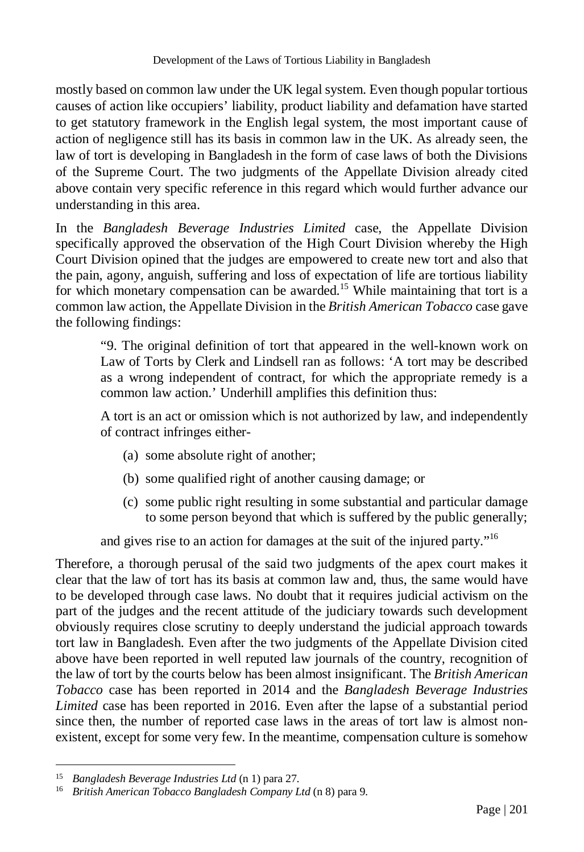mostly based on common law under the UK legal system. Even though popular tortious causes of action like occupiers' liability, product liability and defamation have started to get statutory framework in the English legal system, the most important cause of action of negligence still has its basis in common law in the UK. As already seen, the law of tort is developing in Bangladesh in the form of case laws of both the Divisions of the Supreme Court. The two judgments of the Appellate Division already cited above contain very specific reference in this regard which would further advance our understanding in this area.

In the *Bangladesh Beverage Industries Limited* case, the Appellate Division specifically approved the observation of the High Court Division whereby the High Court Division opined that the judges are empowered to create new tort and also that the pain, agony, anguish, suffering and loss of expectation of life are tortious liability for which monetary compensation can be awarded.<sup>15</sup> While maintaining that tort is a common law action, the Appellate Division in the *British American Tobacco* case gave the following findings:

"9. The original definition of tort that appeared in the well-known work on Law of Torts by Clerk and Lindsell ran as follows: 'A tort may be described as a wrong independent of contract, for which the appropriate remedy is a common law action.' Underhill amplifies this definition thus:

A tort is an act or omission which is not authorized by law, and independently of contract infringes either-

- (a) some absolute right of another;
- (b) some qualified right of another causing damage; or
- (c) some public right resulting in some substantial and particular damage to some person beyond that which is suffered by the public generally;

and gives rise to an action for damages at the suit of the injured party."<sup>16</sup>

Therefore, a thorough perusal of the said two judgments of the apex court makes it clear that the law of tort has its basis at common law and, thus, the same would have to be developed through case laws. No doubt that it requires judicial activism on the part of the judges and the recent attitude of the judiciary towards such development obviously requires close scrutiny to deeply understand the judicial approach towards tort law in Bangladesh. Even after the two judgments of the Appellate Division cited above have been reported in well reputed law journals of the country, recognition of the law of tort by the courts below has been almost insignificant. The *British American Tobacco* case has been reported in 2014 and the *Bangladesh Beverage Industries Limited* case has been reported in 2016. Even after the lapse of a substantial period since then, the number of reported case laws in the areas of tort law is almost nonexistent, except for some very few. In the meantime, compensation culture is somehow

 $\overline{a}$ <sup>15</sup> *Bangladesh Beverage Industries Ltd* (n 1) para 27.

<sup>16</sup> *British American Tobacco Bangladesh Company Ltd* (n 8) para 9.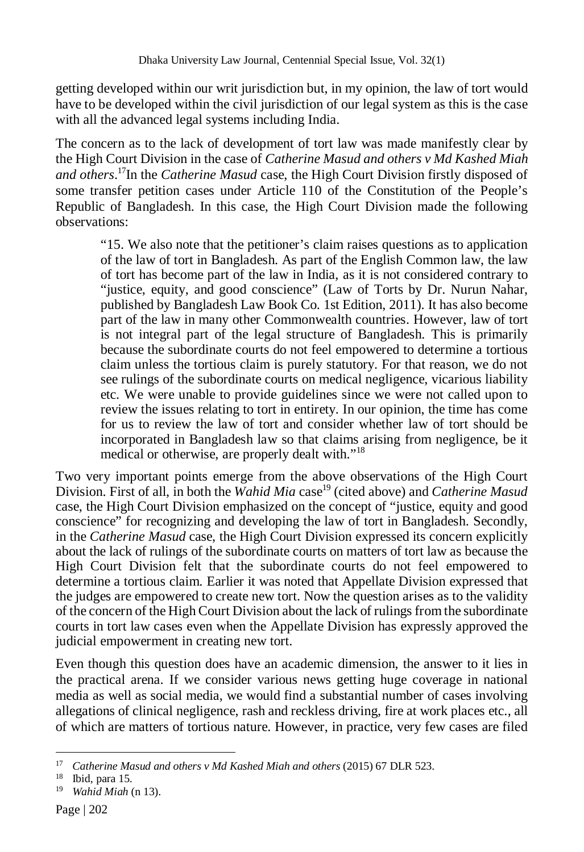getting developed within our writ jurisdiction but, in my opinion, the law of tort would have to be developed within the civil jurisdiction of our legal system as this is the case with all the advanced legal systems including India.

The concern as to the lack of development of tort law was made manifestly clear by the High Court Division in the case of *Catherine Masud and others v Md Kashed Miah and others*. <sup>17</sup>In the *Catherine Masud* case, the High Court Division firstly disposed of some transfer petition cases under Article 110 of the Constitution of the People's Republic of Bangladesh. In this case, the High Court Division made the following observations:

"15. We also note that the petitioner's claim raises questions as to application of the law of tort in Bangladesh. As part of the English Common law, the law of tort has become part of the law in India, as it is not considered contrary to "justice, equity, and good conscience" (Law of Torts by Dr. Nurun Nahar, published by Bangladesh Law Book Co. 1st Edition, 2011). It has also become part of the law in many other Commonwealth countries. However, law of tort is not integral part of the legal structure of Bangladesh. This is primarily because the subordinate courts do not feel empowered to determine a tortious claim unless the tortious claim is purely statutory. For that reason, we do not see rulings of the subordinate courts on medical negligence, vicarious liability etc. We were unable to provide guidelines since we were not called upon to review the issues relating to tort in entirety. In our opinion, the time has come for us to review the law of tort and consider whether law of tort should be incorporated in Bangladesh law so that claims arising from negligence, be it medical or otherwise, are properly dealt with."<sup>18</sup>

Two very important points emerge from the above observations of the High Court Division. First of all, in both the *Wahid Mia* case<sup>19</sup> (cited above) and *Catherine Masud* case, the High Court Division emphasized on the concept of "justice, equity and good conscience" for recognizing and developing the law of tort in Bangladesh. Secondly, in the *Catherine Masud* case, the High Court Division expressed its concern explicitly about the lack of rulings of the subordinate courts on matters of tort law as because the High Court Division felt that the subordinate courts do not feel empowered to determine a tortious claim. Earlier it was noted that Appellate Division expressed that the judges are empowered to create new tort. Now the question arises as to the validity of the concern of the High Court Division about the lack of rulings from the subordinate courts in tort law cases even when the Appellate Division has expressly approved the judicial empowerment in creating new tort.

Even though this question does have an academic dimension, the answer to it lies in the practical arena. If we consider various news getting huge coverage in national media as well as social media, we would find a substantial number of cases involving allegations of clinical negligence, rash and reckless driving, fire at work places etc., all of which are matters of tortious nature. However, in practice, very few cases are filed

 $\overline{a}$ <sup>17</sup> *Catherine Masud and others v Md Kashed Miah and others* (2015) 67 DLR 523.

 $18$  Ibid, para 15.

<sup>19</sup> *Wahid Miah* (n 13).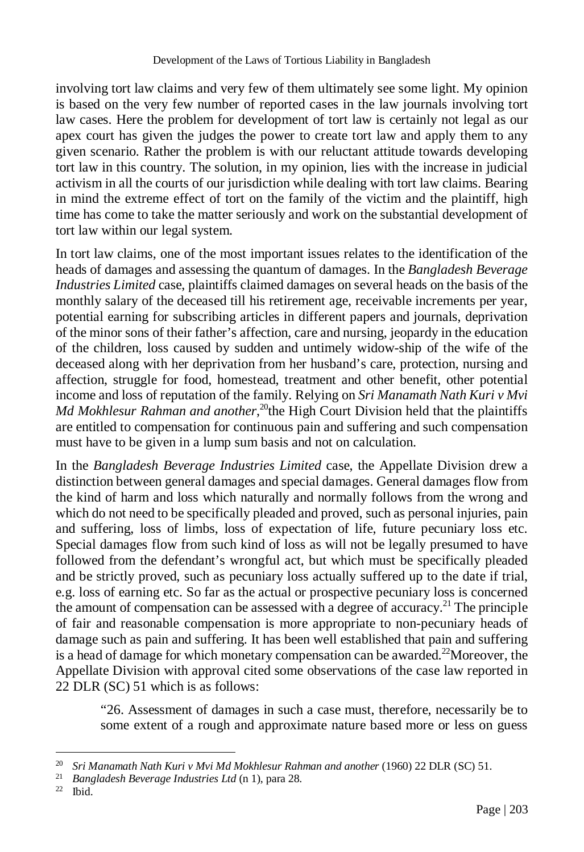involving tort law claims and very few of them ultimately see some light. My opinion is based on the very few number of reported cases in the law journals involving tort law cases. Here the problem for development of tort law is certainly not legal as our apex court has given the judges the power to create tort law and apply them to any given scenario. Rather the problem is with our reluctant attitude towards developing tort law in this country. The solution, in my opinion, lies with the increase in judicial activism in all the courts of our jurisdiction while dealing with tort law claims. Bearing in mind the extreme effect of tort on the family of the victim and the plaintiff, high time has come to take the matter seriously and work on the substantial development of tort law within our legal system.

In tort law claims, one of the most important issues relates to the identification of the heads of damages and assessing the quantum of damages. In the *Bangladesh Beverage Industries Limited* case, plaintiffs claimed damages on several heads on the basis of the monthly salary of the deceased till his retirement age, receivable increments per year, potential earning for subscribing articles in different papers and journals, deprivation of the minor sons of their father's affection, care and nursing, jeopardy in the education of the children, loss caused by sudden and untimely widow-ship of the wife of the deceased along with her deprivation from her husband's care, protection, nursing and affection, struggle for food, homestead, treatment and other benefit, other potential income and loss of reputation of the family. Relying on *Sri Manamath Nath Kuri v Mvi Md Mokhlesur Rahman and another*,<sup>20</sup>the High Court Division held that the plaintiffs are entitled to compensation for continuous pain and suffering and such compensation must have to be given in a lump sum basis and not on calculation.

In the *Bangladesh Beverage Industries Limited* case, the Appellate Division drew a distinction between general damages and special damages. General damages flow from the kind of harm and loss which naturally and normally follows from the wrong and which do not need to be specifically pleaded and proved, such as personal injuries, pain and suffering, loss of limbs, loss of expectation of life, future pecuniary loss etc. Special damages flow from such kind of loss as will not be legally presumed to have followed from the defendant's wrongful act, but which must be specifically pleaded and be strictly proved, such as pecuniary loss actually suffered up to the date if trial, e.g. loss of earning etc. So far as the actual or prospective pecuniary loss is concerned the amount of compensation can be assessed with a degree of accuracy.<sup>21</sup> The principle of fair and reasonable compensation is more appropriate to non-pecuniary heads of damage such as pain and suffering. It has been well established that pain and suffering is a head of damage for which monetary compensation can be awarded.<sup>22</sup>Moreover, the Appellate Division with approval cited some observations of the case law reported in 22 DLR (SC) 51 which is as follows:

"26. Assessment of damages in such a case must, therefore, necessarily be to some extent of a rough and approximate nature based more or less on guess

Ibid.

 $\overline{a}$ 

<sup>&</sup>lt;sup>20</sup> *Sri Manamath Nath Kuri v Mvi Md Mokhlesur Rahman and another* (1960) 22 DLR (SC) 51.

<sup>21</sup> *Bangladesh Beverage Industries Ltd* (n 1), para 28.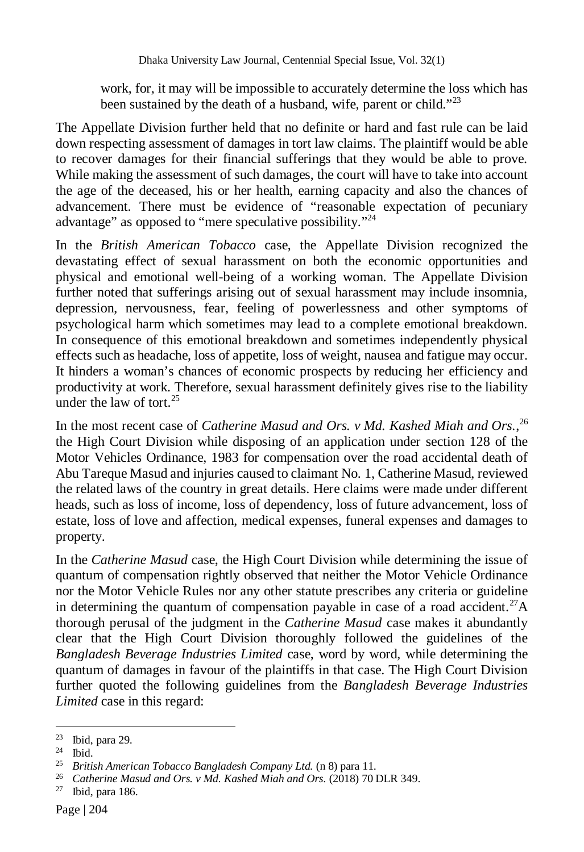work, for, it may will be impossible to accurately determine the loss which has been sustained by the death of a husband, wife, parent or child."<sup>23</sup>

The Appellate Division further held that no definite or hard and fast rule can be laid down respecting assessment of damages in tort law claims. The plaintiff would be able to recover damages for their financial sufferings that they would be able to prove. While making the assessment of such damages, the court will have to take into account the age of the deceased, his or her health, earning capacity and also the chances of advancement. There must be evidence of "reasonable expectation of pecuniary advantage" as opposed to "mere speculative possibility."<sup>24</sup>

In the *British American Tobacco* case, the Appellate Division recognized the devastating effect of sexual harassment on both the economic opportunities and physical and emotional well-being of a working woman. The Appellate Division further noted that sufferings arising out of sexual harassment may include insomnia, depression, nervousness, fear, feeling of powerlessness and other symptoms of psychological harm which sometimes may lead to a complete emotional breakdown. In consequence of this emotional breakdown and sometimes independently physical effects such as headache, loss of appetite, loss of weight, nausea and fatigue may occur. It hinders a woman's chances of economic prospects by reducing her efficiency and productivity at work. Therefore, sexual harassment definitely gives rise to the liability under the law of tort. $25$ 

In the most recent case of *Catherine Masud and Ors. v Md. Kashed Miah and Ors.*,<sup>26</sup> the High Court Division while disposing of an application under section 128 of the Motor Vehicles Ordinance, 1983 for compensation over the road accidental death of Abu Tareque Masud and injuries caused to claimant No. 1, Catherine Masud, reviewed the related laws of the country in great details. Here claims were made under different heads, such as loss of income, loss of dependency, loss of future advancement, loss of estate, loss of love and affection, medical expenses, funeral expenses and damages to property.

In the *Catherine Masud* case, the High Court Division while determining the issue of quantum of compensation rightly observed that neither the Motor Vehicle Ordinance nor the Motor Vehicle Rules nor any other statute prescribes any criteria or guideline in determining the quantum of compensation payable in case of a road accident.<sup>27</sup>A thorough perusal of the judgment in the *Catherine Masud* case makes it abundantly clear that the High Court Division thoroughly followed the guidelines of the *Bangladesh Beverage Industries Limited* case, word by word, while determining the quantum of damages in favour of the plaintiffs in that case. The High Court Division further quoted the following guidelines from the *Bangladesh Beverage Industries Limited* case in this regard:

 $\overline{a}$ <sup>23</sup> Ibid, para 29.

<sup>24</sup> Ibid.

<sup>25</sup> *British American Tobacco Bangladesh Company Ltd.* (n 8) para 11.

<sup>26</sup> *Catherine Masud and Ors. v Md. Kashed Miah and Ors.* (2018) 70 DLR 349.

<sup>27</sup> Ibid, para 186.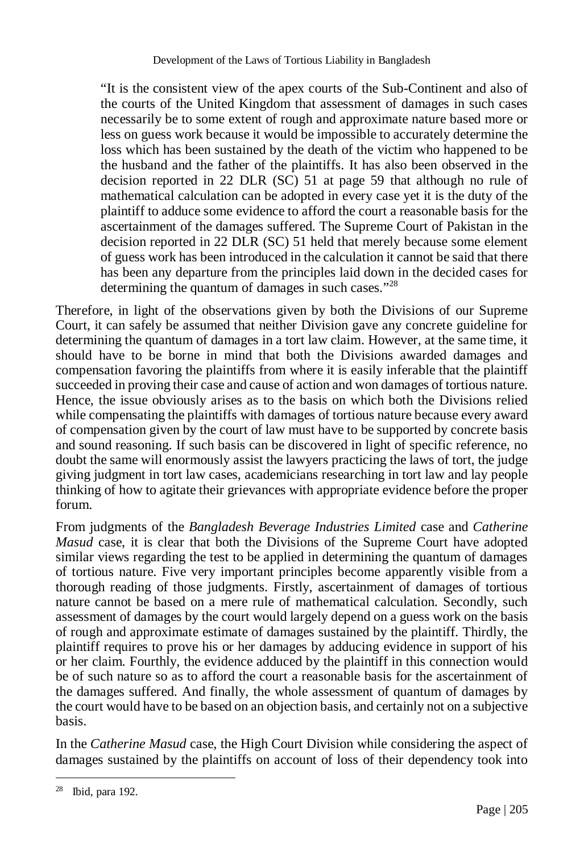"It is the consistent view of the apex courts of the Sub-Continent and also of the courts of the United Kingdom that assessment of damages in such cases necessarily be to some extent of rough and approximate nature based more or less on guess work because it would be impossible to accurately determine the loss which has been sustained by the death of the victim who happened to be the husband and the father of the plaintiffs. It has also been observed in the decision reported in 22 DLR (SC) 51 at page 59 that although no rule of mathematical calculation can be adopted in every case yet it is the duty of the plaintiff to adduce some evidence to afford the court a reasonable basis for the ascertainment of the damages suffered. The Supreme Court of Pakistan in the decision reported in 22 DLR (SC) 51 held that merely because some element of guess work has been introduced in the calculation it cannot be said that there has been any departure from the principles laid down in the decided cases for determining the quantum of damages in such cases."<sup>28</sup>

Therefore, in light of the observations given by both the Divisions of our Supreme Court, it can safely be assumed that neither Division gave any concrete guideline for determining the quantum of damages in a tort law claim. However, at the same time, it should have to be borne in mind that both the Divisions awarded damages and compensation favoring the plaintiffs from where it is easily inferable that the plaintiff succeeded in proving their case and cause of action and won damages of tortious nature. Hence, the issue obviously arises as to the basis on which both the Divisions relied while compensating the plaintiffs with damages of tortious nature because every award of compensation given by the court of law must have to be supported by concrete basis and sound reasoning. If such basis can be discovered in light of specific reference, no doubt the same will enormously assist the lawyers practicing the laws of tort, the judge giving judgment in tort law cases, academicians researching in tort law and lay people thinking of how to agitate their grievances with appropriate evidence before the proper forum.

From judgments of the *Bangladesh Beverage Industries Limited* case and *Catherine Masud* case, it is clear that both the Divisions of the Supreme Court have adopted similar views regarding the test to be applied in determining the quantum of damages of tortious nature. Five very important principles become apparently visible from a thorough reading of those judgments. Firstly, ascertainment of damages of tortious nature cannot be based on a mere rule of mathematical calculation. Secondly, such assessment of damages by the court would largely depend on a guess work on the basis of rough and approximate estimate of damages sustained by the plaintiff. Thirdly, the plaintiff requires to prove his or her damages by adducing evidence in support of his or her claim. Fourthly, the evidence adduced by the plaintiff in this connection would be of such nature so as to afford the court a reasonable basis for the ascertainment of the damages suffered. And finally, the whole assessment of quantum of damages by the court would have to be based on an objection basis, and certainly not on a subjective basis.

In the *Catherine Masud* case, the High Court Division while considering the aspect of damages sustained by the plaintiffs on account of loss of their dependency took into

 $\overline{a}$ 

<sup>28</sup> Ibid, para 192.